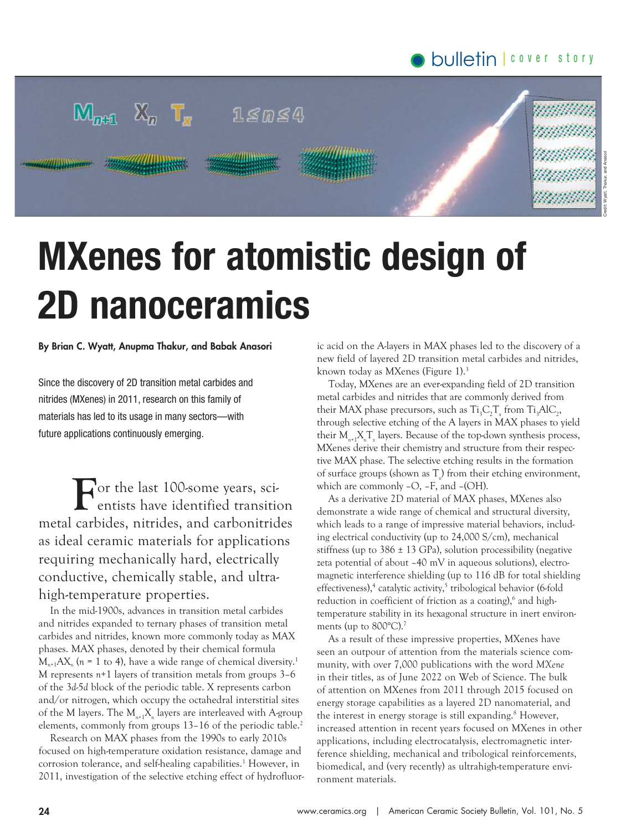# bulletin cover story



# MXenes for atomistic design of 2D nanoceramics

#### By Brian C. Wyatt, Anupma Thakur, and Babak Anasori

Since the discovery of 2D transition metal carbides and nitrides (MXenes) in 2011, research on this family of materials has led to its usage in many sectors—with future applications continuously emerging.

**F** or the last 100-some years, scientists have identified transition metal carbides, nitrides, and carbonitrides as ideal ceramic materials for applications requiring mechanically hard, electrically conductive, chemically stable, and ultrahigh-temperature properties.

In the mid-1900s, advances in transition metal carbides and nitrides expanded to ternary phases of transition metal carbides and nitrides, known more commonly today as MAX phases. MAX phases, denoted by their chemical formula  $M_{n+1}AX_n$  ( $n = 1$  to 4), have a wide range of chemical diversity.<sup>1</sup> M represents *n*+1 layers of transition metals from groups 3–6 of the 3*d*-5*d* block of the periodic table. X represents carbon and/or nitrogen, which occupy the octahedral interstitial sites of the M layers. The M*n*+1X*<sup>n</sup>* layers are interleaved with A-group elements, commonly from groups 13–16 of the periodic table.<sup>2</sup>

Research on MAX phases from the 1990s to early 2010s focused on high-temperature oxidation resistance, damage and corrosion tolerance, and self-healing capabilities.<sup>1</sup> However, in 2011, investigation of the selective etching effect of hydrofluoric acid on the A-layers in MAX phases led to the discovery of a new field of layered 2D transition metal carbides and nitrides, known today as MXenes (Figure 1).<sup>3</sup>

Today, MXenes are an ever-expanding field of 2D transition metal carbides and nitrides that are commonly derived from their MAX phase precursors, such as  $Ti_{3}C_{2}T_{x}$  from  $Ti_{3}AlC_{2}$ , through selective etching of the A layers in MAX phases to yield their  $M_{n+1}X_nT_{x}$  layers. Because of the top-down synthesis process, MXenes derive their chemistry and structure from their respective MAX phase. The selective etching results in the formation of surface groups (shown as T*<sup>x</sup>* ) from their etching environment, which are commonly –O, –F, and –(OH).

As a derivative 2D material of MAX phases, MXenes also demonstrate a wide range of chemical and structural diversity, which leads to a range of impressive material behaviors, including electrical conductivity (up to 24,000 S/cm), mechanical stiffness (up to  $386 \pm 13$  GPa), solution processibility (negative zeta potential of about –40 mV in aqueous solutions), electromagnetic interference shielding (up to 116 dB for total shielding effectiveness),<sup>4</sup> catalytic activity,<sup>5</sup> tribological behavior (6-fold reduction in coefficient of friction as a coating),<sup>6</sup> and hightemperature stability in its hexagonal structure in inert environments (up to  $800^{\circ}$ C).<sup>7</sup>

As a result of these impressive properties, MXenes have seen an outpour of attention from the materials science community, with over 7,000 publications with the word *MXene* in their titles, as of June 2022 on Web of Science. The bulk of attention on MXenes from 2011 through 2015 focused on energy storage capabilities as a layered 2D nanomaterial, and the interest in energy storage is still expanding.<sup>8</sup> However, increased attention in recent years focused on MXenes in other applications, including electrocatalysis, electromagnetic interference shielding, mechanical and tribological reinforcements, biomedical, and (very recently) as ultrahigh-temperature environment materials.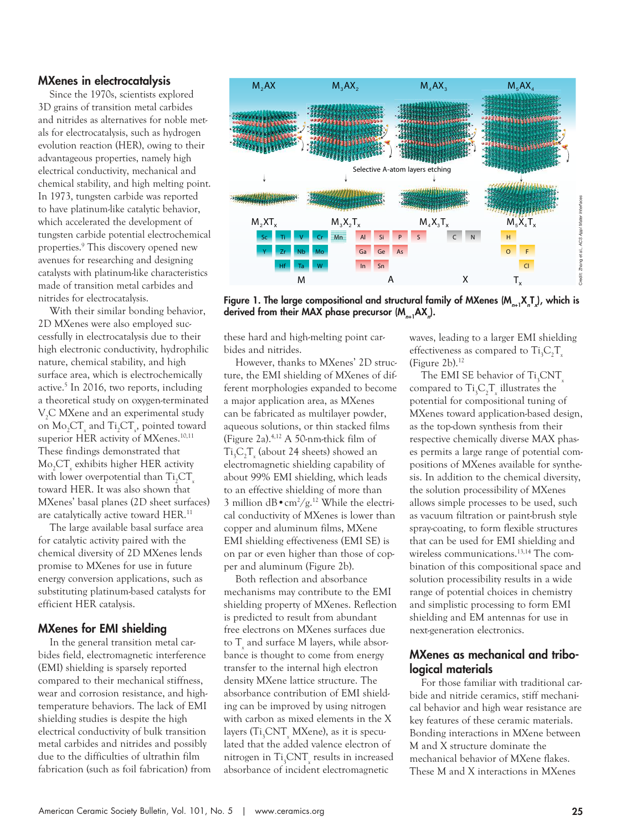#### MXenes in electrocatalysis

Since the 1970s, scientists explored 3D grains of transition metal carbides and nitrides as alternatives for noble metals for electrocatalysis, such as hydrogen evolution reaction (HER), owing to their advantageous properties, namely high electrical conductivity, mechanical and chemical stability, and high melting point. In 1973, tungsten carbide was reported to have platinum-like catalytic behavior, which accelerated the development of tungsten carbide potential electrochemical properties.<sup>9</sup> This discovery opened new avenues for researching and designing catalysts with platinum-like characteristics made of transition metal carbides and nitrides for electrocatalysis.

With their similar bonding behavior, 2D MXenes were also employed successfully in electrocatalysis due to their high electronic conductivity, hydrophilic nature, chemical stability, and high surface area, which is electrochemically active.<sup>5</sup> In 2016, two reports, including a theoretical study on oxygen-terminated V<sub>2</sub>C MXene and an experimental study on  $Mo_{2}CT_{x}$  and  $Ti_{2}CT_{x}$ , pointed toward superior HER activity of MXenes.<sup>10,11</sup> These findings demonstrated that Mo2CT*<sup>x</sup>* exhibits higher HER activity with lower overpotential than Ti<sub>2</sub>CT toward HER. It was also shown that MXenes' basal planes (2D sheet surfaces) are catalytically active toward HER.<sup>11</sup>

The large available basal surface area for catalytic activity paired with the chemical diversity of 2D MXenes lends promise to MXenes for use in future energy conversion applications, such as substituting platinum-based catalysts for efficient HER catalysis.

#### MXenes for EMI shielding

In the general transition metal carbides field, electromagnetic interference (EMI) shielding is sparsely reported compared to their mechanical stiffness, wear and corrosion resistance, and hightemperature behaviors. The lack of EMI shielding studies is despite the high electrical conductivity of bulk transition metal carbides and nitrides and possibly due to the difficulties of ultrathin film fabrication (such as foil fabrication) from



Figure 1. The large compositional and structural family of MXenes (M<sub>n+1</sub>X,T<sub>x</sub>), which is derived from their MAX phase precursor (M $_{n+1}$ AX<sub>n</sub>).

these hard and high-melting point carbides and nitrides.

However, thanks to MXenes' 2D structure, the EMI shielding of MXenes of different morphologies expanded to become a major application area, as MXenes can be fabricated as multilayer powder, aqueous solutions, or thin stacked films (Figure 2a).4,12 A 50-nm-thick film of Ti<sub>3</sub>C<sub>2</sub>T<sub>x</sub> (about 24 sheets) showed an electromagnetic shielding capability of about 99% EMI shielding, which leads to an effective shielding of more than 3 million  $dB \cdot cm^2/g$ .<sup>12</sup> While the electrical conductivity of MXenes is lower than copper and aluminum films, MXene EMI shielding effectiveness (EMI SE) is on par or even higher than those of copper and aluminum (Figure 2b).

Both reflection and absorbance mechanisms may contribute to the EMI shielding property of MXenes. Reflection is predicted to result from abundant free electrons on MXenes surfaces due to T*<sup>x</sup>* and surface M layers, while absorbance is thought to come from energy transfer to the internal high electron density MXene lattice structure. The absorbance contribution of EMI shielding can be improved by using nitrogen with carbon as mixed elements in the X layers (Ti<sub>3</sub>CNT<sub>x</sub> MXene), as it is speculated that the added valence electron of nitrogen in  $\rm Ti_3CNT_{\tiny \rm x}$  results in increased absorbance of incident electromagnetic

waves, leading to a larger EMI shielding effectiveness as compared to Ti<sub>3</sub>C<sub>2</sub>T<sub>x</sub> (Figure  $2b$ ).<sup>12</sup>

American Ceramical Ceramical Ceramical Ceramical Ceramical Ceramical Ceramical Ceramical Ceramical Ceramical Ceramical Ceramical Ceramical Ceramical Ceramical Ceramical Ceramical Ceramical Ceramical Ceramical Ceramical Ce The EMI SE behavior of Ti<sub>3</sub>CNT<sub>*x*</sub> compared to  $Ti_{3}C_{2}T_{x}$  illustrates the potential for compositional tuning of MXenes toward application-based design, as the top-down synthesis from their respective chemically diverse MAX phases permits a large range of potential compositions of MXenes available for synthesis. In addition to the chemical diversity, the solution processibility of MXenes allows simple processes to be used, such as vacuum filtration or paint-brush style spray-coating, to form flexible structures that can be used for EMI shielding and wireless communications.13,14 The combination of this compositional space and solution processibility results in a wide range of potential choices in chemistry and simplistic processing to form EMI shielding and EM antennas for use in next-generation electronics.

# MXenes as mechanical and tribological materials

For those familiar with traditional carbide and nitride ceramics, stiff mechanical behavior and high wear resistance are key features of these ceramic materials. Bonding interactions in MXene between M and X structure dominate the mechanical behavior of MXene flakes. These M and X interactions in MXenes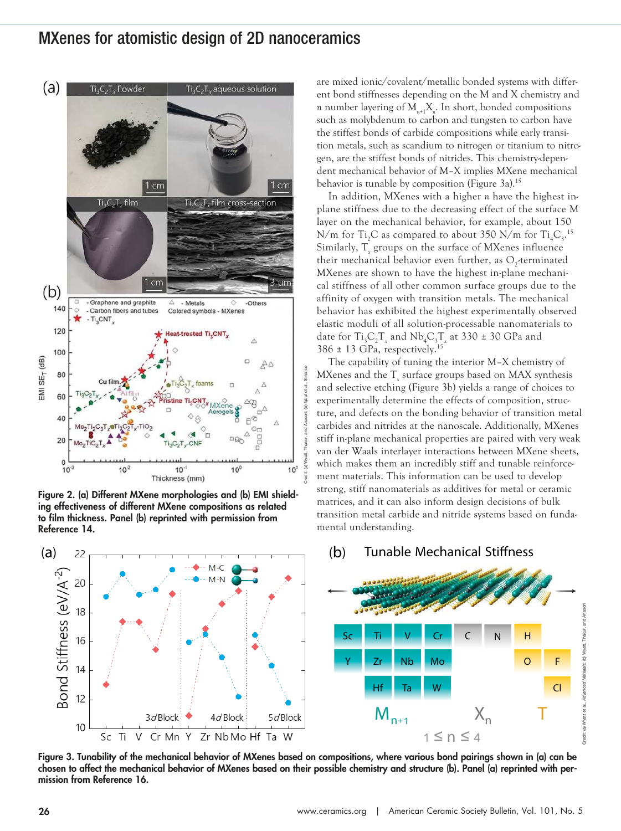# MXenes for atomistic design of 2D nanoceramics



Figure 2. (a) Different MXene morphologies and (b) EMI shielding effectiveness of different MXene compositions as related to film thickness. Panel (b) reprinted with permission from Reference 14.

are mixed ionic/covalent/metallic bonded systems with different bond stiffnesses depending on the M and X chemistry and *n* number layering of M*n*+1X*<sup>n</sup>* . In short, bonded compositions such as molybdenum to carbon and tungsten to carbon have the stiffest bonds of carbide compositions while early transition metals, such as scandium to nitrogen or titanium to nitrogen, are the stiffest bonds of nitrides. This chemistry-dependent mechanical behavior of M–X implies MXene mechanical behavior is tunable by composition (Figure 3a).<sup>15</sup>

In addition, MXenes with a higher *n* have the highest inplane stiffness due to the decreasing effect of the surface M layer on the mechanical behavior, for example, about 150 N/m for Ti<sub>2</sub>C as compared to about 350 N/m for Ti<sub>4</sub>C<sub>3</sub>.<sup>15</sup> Similarly, T<sub>*x*</sub> groups on the surface of MXenes influence their mechanical behavior even further, as  $O_2$ -terminated MXenes are shown to have the highest in-plane mechanical stiffness of all other common surface groups due to the affinity of oxygen with transition metals. The mechanical behavior has exhibited the highest experimentally observed elastic moduli of all solution-processable nanomaterials to date for  $Ti_{3}C_{2}T_{x}$  and  $Nb_{4}C_{3}T_{x}$  at 330  $\pm$  30 GPa and  $386 \pm 13$  GPa, respectively.<sup>15</sup>

The capability of tuning the interior M–X chemistry of MXenes and the  $T_{\rm x}$  surface groups based on MAX synthesis and selective etching (Figure 3b) yields a range of choices to experimentally determine the effects of composition, structure, and defects on the bonding behavior of transition metal carbides and nitrides at the nanoscale. Additionally, MXenes stiff in-plane mechanical properties are paired with very weak van der Waals interlayer interactions between MXene sheets, which makes them an incredibly stiff and tunable reinforcement materials. This information can be used to develop strong, stiff nanomaterials as additives for metal or ceramic matrices, and it can also inform design decisions of bulk transition metal carbide and nitride systems based on fundamental understanding.



Figure 3. Tunability of the mechanical behavior of MXenes based on compositions, where various bond pairings shown in (a) can be chosen to affect the mechanical behavior of MXenes based on their possible chemistry and structure (b). Panel (a) reprinted with per-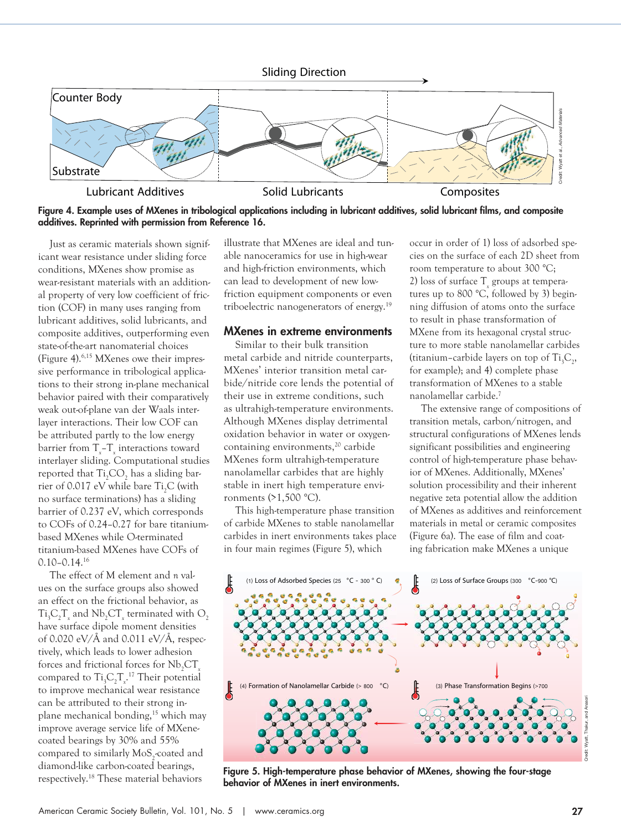

Figure 4. Example uses of MXenes in tribological applications including in lubricant additives, solid lubricant films, and composite additives. Reprinted with permission from Reference 16.

Just as ceramic materials shown significant wear resistance under sliding force conditions, MXenes show promise as wear-resistant materials with an additional property of very low coefficient of friction (COF) in many uses ranging from lubricant additives, solid lubricants, and composite additives, outperforming even state-of-the-art nanomaterial choices (Figure 4).6,15 MXenes owe their impressive performance in tribological applications to their strong in-plane mechanical behavior paired with their comparatively weak out-of-plane van der Waals interlayer interactions. Their low COF can be attributed partly to the low energy barrier from  $T_{x}$ – $T_{x}$  interactions toward interlayer sliding. Computational studies reported that  $Ti<sub>2</sub>CO<sub>2</sub>$  has a sliding barrier of 0.017 eV while bare Ti<sub>2</sub>C (with no surface terminations) has a sliding barrier of 0.237 eV, which corresponds to COFs of 0.24–0.27 for bare titaniumbased MXenes while O-terminated titanium-based MXenes have COFs of 0.10–0.14.<sup>16</sup>

The effect of M element and *n* values on the surface groups also showed an effect on the frictional behavior, as  $Ti_{3}C_{2}T_{x}$  and  $Nb_{2}CT_{x}$  terminated with  $O_{2}$ have surface dipole moment densities of 0.020 eV/Å and 0.011 eV/Å, respectively, which leads to lower adhesion forces and frictional forces for Nb<sub>2</sub>CT<sub>1</sub> compared to  $Ti_{3}C_{2}T_{x}$ <sup>17</sup> Their potential to improve mechanical wear resistance can be attributed to their strong inplane mechanical bonding,15 which may improve average service life of MXenecoated bearings by 30% and 55% compared to similarly  $\text{MoS}_2$ -coated and diamond-like carbon-coated bearings, respectively.18 These material behaviors

illustrate that MXenes are ideal and tunable nanoceramics for use in high-wear and high-friction environments, which can lead to development of new lowfriction equipment components or even triboelectric nanogenerators of energy.<sup>19</sup>

#### MXenes in extreme environments

Similar to their bulk transition metal carbide and nitride counterparts, MXenes' interior transition metal carbide/nitride core lends the potential of their use in extreme conditions, such as ultrahigh-temperature environments. Although MXenes display detrimental oxidation behavior in water or oxygencontaining environments,<sup>20</sup> carbide MXenes form ultrahigh-temperature nanolamellar carbides that are highly stable in inert high temperature environments (>1,500 °C).

This high-temperature phase transition of carbide MXenes to stable nanolamellar carbides in inert environments takes place in four main regimes (Figure 5), which

occur in order of 1) loss of adsorbed species on the surface of each 2D sheet from room temperature to about 300 °C; 2) loss of surface T<sub>*x*</sub> groups at temperatures up to 800 °C, followed by 3) beginning diffusion of atoms onto the surface to result in phase transformation of MXene from its hexagonal crystal structure to more stable nanolamellar carbides (titanium–carbide layers on top of  $Ti_3C_2$ , for example); and 4) complete phase transformation of MXenes to a stable nanolamellar carbide.<sup>7</sup>

The extensive range of compositions of transition metals, carbon/nitrogen, and structural configurations of MXenes lends significant possibilities and engineering control of high-temperature phase behavior of MXenes. Additionally, MXenes' solution processibility and their inherent negative zeta potential allow the addition of MXenes as additives and reinforcement materials in metal or ceramic composites (Figure 6a). The ease of film and coating fabrication make MXenes a unique



Figure 5. High-temperature phase behavior of MXenes, showing the four-stage behavior of MXenes in inert environments.